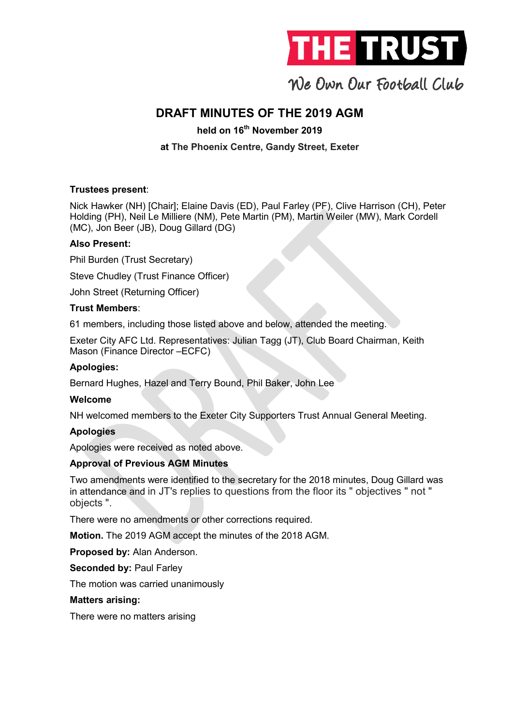

### DRAFT MINUTES OF THE 2019 AGM

held on 16<sup>th</sup> November 2019

### at The Phoenix Centre, Gandy Street, Exeter

### Trustees present:

Nick Hawker (NH) [Chair]; Elaine Davis (ED), Paul Farley (PF), Clive Harrison (CH), Peter Holding (PH), Neil Le Milliere (NM), Pete Martin (PM), Martin Weiler (MW), Mark Cordell (MC), Jon Beer (JB), Doug Gillard (DG)

### Also Present:

Phil Burden (Trust Secretary)

Steve Chudley (Trust Finance Officer)

John Street (Returning Officer)

### Trust Members:

61 members, including those listed above and below, attended the meeting.

Exeter City AFC Ltd. Representatives: Julian Tagg (JT), Club Board Chairman, Keith Mason (Finance Director –ECFC)

### Apologies:

Bernard Hughes, Hazel and Terry Bound, Phil Baker, John Lee

### Welcome

NH welcomed members to the Exeter City Supporters Trust Annual General Meeting.

### Apologies

Apologies were received as noted above.

### Approval of Previous AGM Minutes

Two amendments were identified to the secretary for the 2018 minutes, Doug Gillard was in attendance and in JT's replies to questions from the floor its " objectives " not " objects ".

There were no amendments or other corrections required.

Motion. The 2019 AGM accept the minutes of the 2018 AGM.

Proposed by: Alan Anderson.

Seconded by: Paul Farley

The motion was carried unanimously

### Matters arising:

There were no matters arising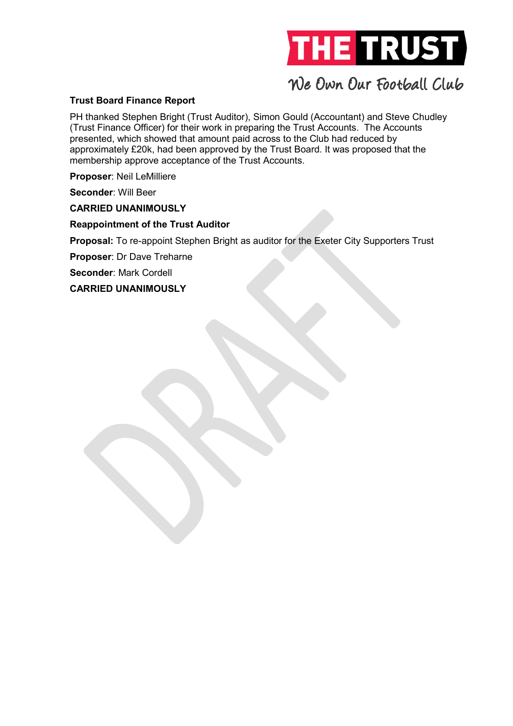

### Trust Board Finance Report

PH thanked Stephen Bright (Trust Auditor), Simon Gould (Accountant) and Steve Chudley (Trust Finance Officer) for their work in preparing the Trust Accounts. The Accounts presented, which showed that amount paid across to the Club had reduced by approximately £20k, had been approved by the Trust Board. It was proposed that the membership approve acceptance of the Trust Accounts.

Proposer: Neil LeMilliere

Seconder: Will Beer

CARRIED UNANIMOUSLY

Reappointment of the Trust Auditor

Proposal: To re-appoint Stephen Bright as auditor for the Exeter City Supporters Trust

Proposer: Dr Dave Treharne

Seconder: Mark Cordell

CARRIED UNANIMOUSLY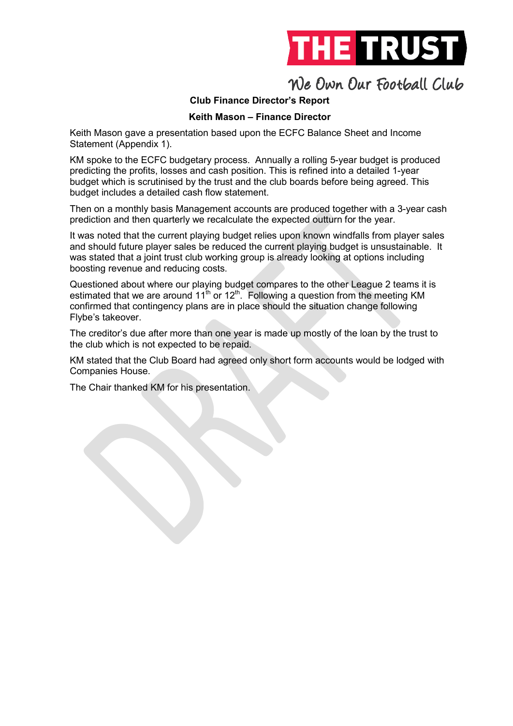

### Club Finance Director's Report

### Keith Mason – Finance Director

Keith Mason gave a presentation based upon the ECFC Balance Sheet and Income Statement (Appendix 1).

KM spoke to the ECFC budgetary process. Annually a rolling 5-year budget is produced predicting the profits, losses and cash position. This is refined into a detailed 1-year budget which is scrutinised by the trust and the club boards before being agreed. This budget includes a detailed cash flow statement.

Then on a monthly basis Management accounts are produced together with a 3-year cash prediction and then quarterly we recalculate the expected outturn for the year.

It was noted that the current playing budget relies upon known windfalls from player sales and should future player sales be reduced the current playing budget is unsustainable. It was stated that a joint trust club working group is already looking at options including boosting revenue and reducing costs.

Questioned about where our playing budget compares to the other League 2 teams it is estimated that we are around  $11^{th}$  or  $12^{th}$ . Following a question from the meeting KM confirmed that contingency plans are in place should the situation change following Flybe's takeover.

The creditor's due after more than one year is made up mostly of the loan by the trust to the club which is not expected to be repaid.

KM stated that the Club Board had agreed only short form accounts would be lodged with Companies House.

The Chair thanked KM for his presentation.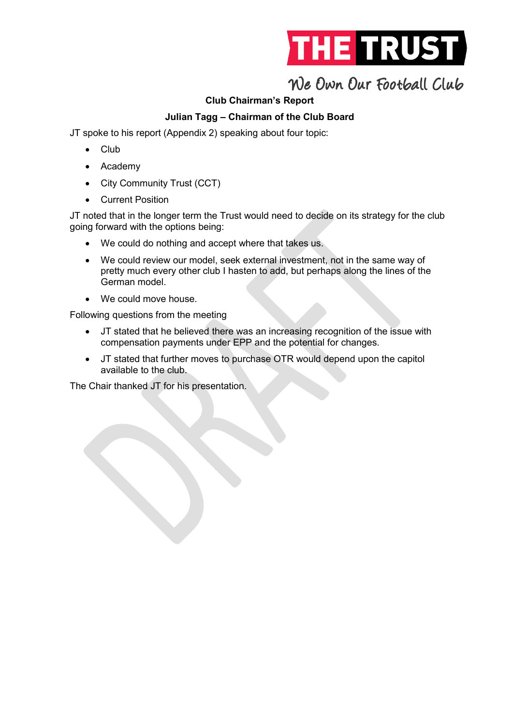

### Club Chairman's Report

### Julian Tagg – Chairman of the Club Board

JT spoke to his report (Appendix 2) speaking about four topic:

- Club
- Academy
- City Community Trust (CCT)
- Current Position

JT noted that in the longer term the Trust would need to decide on its strategy for the club going forward with the options being:

- We could do nothing and accept where that takes us.
- We could review our model, seek external investment, not in the same way of pretty much every other club I hasten to add, but perhaps along the lines of the German model.
- We could move house

Following questions from the meeting

- JT stated that he believed there was an increasing recognition of the issue with compensation payments under EPP and the potential for changes.
- JT stated that further moves to purchase OTR would depend upon the capitol available to the club.

The Chair thanked JT for his presentation.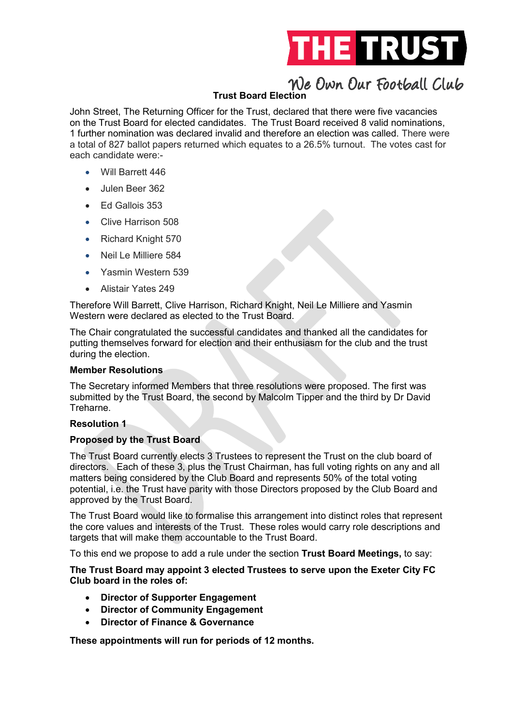

### Trust Board Election

John Street, The Returning Officer for the Trust, declared that there were five vacancies on the Trust Board for elected candidates. The Trust Board received 8 valid nominations, 1 further nomination was declared invalid and therefore an election was called. There were a total of 827 ballot papers returned which equates to a 26.5% turnout. The votes cast for each candidate were:-

- Will Barrett 446
- Julen Beer 362
- Ed Gallois 353
- Clive Harrison 508
- Richard Knight 570
- Neil Le Milliere 584
- Yasmin Western 539
- Alistair Yates 249

Therefore Will Barrett, Clive Harrison, Richard Knight, Neil Le Milliere and Yasmin Western were declared as elected to the Trust Board.

The Chair congratulated the successful candidates and thanked all the candidates for putting themselves forward for election and their enthusiasm for the club and the trust during the election.

### Member Resolutions

The Secretary informed Members that three resolutions were proposed. The first was submitted by the Trust Board, the second by Malcolm Tipper and the third by Dr David Treharne.

### Resolution 1

### Proposed by the Trust Board

The Trust Board currently elects 3 Trustees to represent the Trust on the club board of directors. Each of these 3, plus the Trust Chairman, has full voting rights on any and all matters being considered by the Club Board and represents 50% of the total voting potential, i.e. the Trust have parity with those Directors proposed by the Club Board and approved by the Trust Board.

The Trust Board would like to formalise this arrangement into distinct roles that represent the core values and interests of the Trust. These roles would carry role descriptions and targets that will make them accountable to the Trust Board.

To this end we propose to add a rule under the section Trust Board Meetings, to say:

The Trust Board may appoint 3 elected Trustees to serve upon the Exeter City FC Club board in the roles of:

- Director of Supporter Engagement
- Director of Community Engagement
- Director of Finance & Governance

These appointments will run for periods of 12 months.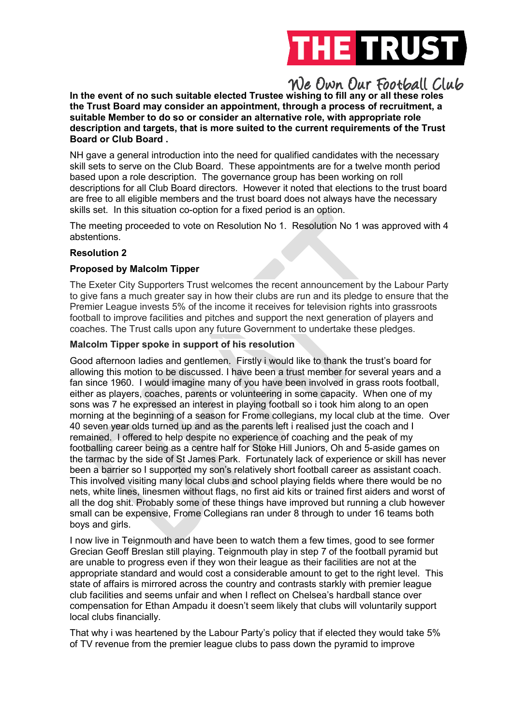

In the event of no such suitable elected Trustee wishing to fill any or all these roles the Trust Board may consider an appointment, through a process of recruitment, a suitable Member to do so or consider an alternative role, with appropriate role description and targets, that is more suited to the current requirements of the Trust Board or Club Board .

NH gave a general introduction into the need for qualified candidates with the necessary skill sets to serve on the Club Board. These appointments are for a twelve month period based upon a role description. The governance group has been working on roll descriptions for all Club Board directors. However it noted that elections to the trust board are free to all eligible members and the trust board does not always have the necessary skills set. In this situation co-option for a fixed period is an option.

The meeting proceeded to vote on Resolution No 1. Resolution No 1 was approved with 4 abstentions.

### Resolution 2

#### Proposed by Malcolm Tipper

The Exeter City Supporters Trust welcomes the recent announcement by the Labour Party to give fans a much greater say in how their clubs are run and its pledge to ensure that the Premier League invests 5% of the income it receives for television rights into grassroots football to improve facilities and pitches and support the next generation of players and coaches. The Trust calls upon any future Government to undertake these pledges.

#### Malcolm Tipper spoke in support of his resolution

Good afternoon ladies and gentlemen. Firstly i would like to thank the trust's board for allowing this motion to be discussed. I have been a trust member for several years and a fan since 1960. I would imagine many of you have been involved in grass roots football, either as players, coaches, parents or volunteering in some capacity. When one of my sons was 7 he expressed an interest in playing football so i took him along to an open morning at the beginning of a season for Frome collegians, my local club at the time. Over 40 seven year olds turned up and as the parents left i realised just the coach and I remained. I offered to help despite no experience of coaching and the peak of my footballing career being as a centre half for Stoke Hill Juniors, Oh and 5-aside games on the tarmac by the side of St James Park. Fortunately lack of experience or skill has never been a barrier so I supported my son's relatively short football career as assistant coach. This involved visiting many local clubs and school playing fields where there would be no nets, white lines, linesmen without flags, no first aid kits or trained first aiders and worst of all the dog shit. Probably some of these things have improved but running a club however small can be expensive, Frome Collegians ran under 8 through to under 16 teams both boys and girls.

I now live in Teignmouth and have been to watch them a few times, good to see former Grecian Geoff Breslan still playing. Teignmouth play in step 7 of the football pyramid but are unable to progress even if they won their league as their facilities are not at the appropriate standard and would cost a considerable amount to get to the right level. This state of affairs is mirrored across the country and contrasts starkly with premier league club facilities and seems unfair and when I reflect on Chelsea's hardball stance over compensation for Ethan Ampadu it doesn't seem likely that clubs will voluntarily support local clubs financially.

That why i was heartened by the Labour Party's policy that if elected they would take 5% of TV revenue from the premier league clubs to pass down the pyramid to improve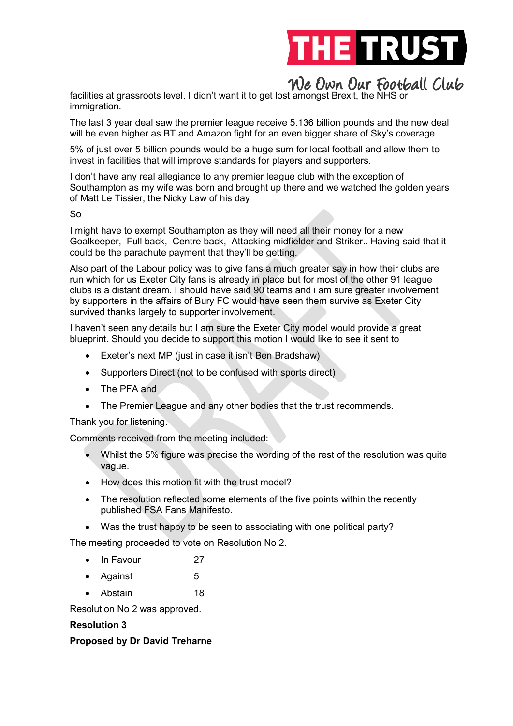

facilities at grassroots level. I didn't want it to get lost amongst Brexit, the NHS or immigration.

The last 3 year deal saw the premier league receive 5.136 billion pounds and the new deal will be even higher as BT and Amazon fight for an even bigger share of Sky's coverage.

5% of just over 5 billion pounds would be a huge sum for local football and allow them to invest in facilities that will improve standards for players and supporters.

I don't have any real allegiance to any premier league club with the exception of Southampton as my wife was born and brought up there and we watched the golden years of Matt Le Tissier, the Nicky Law of his day

So

I might have to exempt Southampton as they will need all their money for a new Goalkeeper, Full back, Centre back, Attacking midfielder and Striker.. Having said that it could be the parachute payment that they'll be getting.

Also part of the Labour policy was to give fans a much greater say in how their clubs are run which for us Exeter City fans is already in place but for most of the other 91 league clubs is a distant dream. I should have said 90 teams and i am sure greater involvement by supporters in the affairs of Bury FC would have seen them survive as Exeter City survived thanks largely to supporter involvement.

I haven't seen any details but I am sure the Exeter City model would provide a great blueprint. Should you decide to support this motion I would like to see it sent to

- Exeter's next MP (just in case it isn't Ben Bradshaw)
- Supporters Direct (not to be confused with sports direct)
- The PFA and
- The Premier League and any other bodies that the trust recommends.

Thank you for listening.

Comments received from the meeting included:

- Whilst the 5% figure was precise the wording of the rest of the resolution was quite vague.
- How does this motion fit with the trust model?
- The resolution reflected some elements of the five points within the recently published FSA Fans Manifesto.
- Was the trust happy to be seen to associating with one political party?

The meeting proceeded to vote on Resolution No 2.

- In Favour 27
- Against 5
- Abstain 18

Resolution No 2 was approved.

### Resolution 3

### Proposed by Dr David Treharne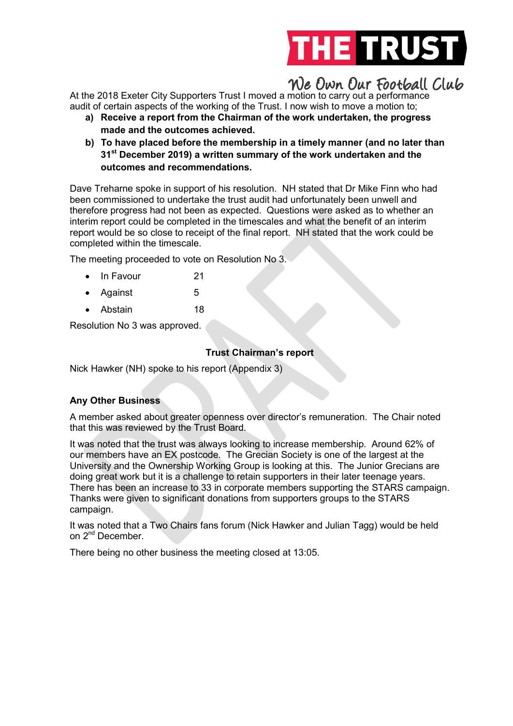

At the 2018 Exeter City Supporters Trust I moved a motion to carry out a performance audit of certain aspects of the working of the Trust. I now wish to move a motion to;

- a) Receive a report from the Chairman of the work undertaken, the progress made and the outcomes achieved.
- b) To have placed before the membership in a timely manner (and no later than 31<sup>st</sup> December 2019) a written summary of the work undertaken and the outcomes and recommendations.

Dave Treharne spoke in support of his resolution. NH stated that Dr Mike Finn who had been commissioned to undertake the trust audit had unfortunately been unwell and therefore progress had not been as expected. Questions were asked as to whether an interim report could be completed in the timescales and what the benefit of an interim report would be so close to receipt of the final report. NH stated that the work could be completed within the timescale.

The meeting proceeded to vote on Resolution No 3.

- In Favour 21
- Against 5
- Abstain 18

Resolution No 3 was approved.

### Trust Chairman's report

Nick Hawker (NH) spoke to his report (Appendix 3)

### Any Other Business

A member asked about greater openness over director's remuneration. The Chair noted that this was reviewed by the Trust Board.

It was noted that the trust was always looking to increase membership. Around 62% of our members have an EX postcode. The Grecian Society is one of the largest at the University and the Ownership Working Group is looking at this. The Junior Grecians are doing great work but it is a challenge to retain supporters in their later teenage years. There has been an increase to 33 in corporate members supporting the STARS campaign. Thanks were given to significant donations from supporters groups to the STARS campaign.

It was noted that a Two Chairs fans forum (Nick Hawker and Julian Tagg) would be held on 2<sup>nd</sup> December.

There being no other business the meeting closed at 13:05.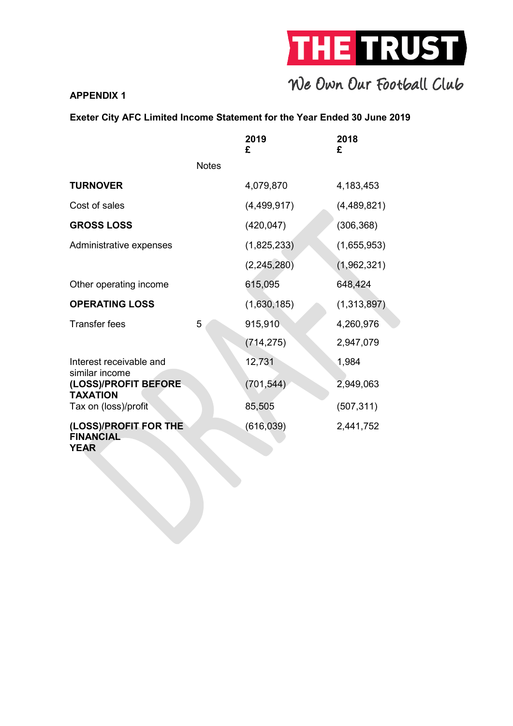

### APPENDIX 1

### Exeter City AFC Limited Income Statement for the Year Ended 30 June 2019

|                                                           |              | 2019<br>£     | 2018<br>£   |
|-----------------------------------------------------------|--------------|---------------|-------------|
|                                                           | <b>Notes</b> |               |             |
| <b>TURNOVER</b>                                           |              | 4,079,870     | 4,183,453   |
| Cost of sales                                             |              | (4,499,917)   | (4,489,821) |
| <b>GROSS LOSS</b>                                         |              | (420, 047)    | (306, 368)  |
| Administrative expenses                                   |              | (1,825,233)   | (1,655,953) |
|                                                           |              | (2, 245, 280) | (1,962,321) |
| Other operating income                                    |              | 615,095       | 648,424     |
| <b>OPERATING LOSS</b>                                     |              | (1,630,185)   | (1,313,897) |
| <b>Transfer fees</b>                                      | 5            | 915,910       | 4,260,976   |
|                                                           |              | (714, 275)    | 2,947,079   |
| Interest receivable and                                   |              | 12,731        | 1,984       |
| similar income<br>(LOSS)/PROFIT BEFORE<br><b>TAXATION</b> |              | (701, 544)    | 2,949,063   |
| Tax on (loss)/profit                                      |              | 85,505        | (507, 311)  |
| (LOSS)/PROFIT FOR THE<br><b>FINANCIAL</b><br><b>YEAR</b>  |              | (616, 039)    | 2,441,752   |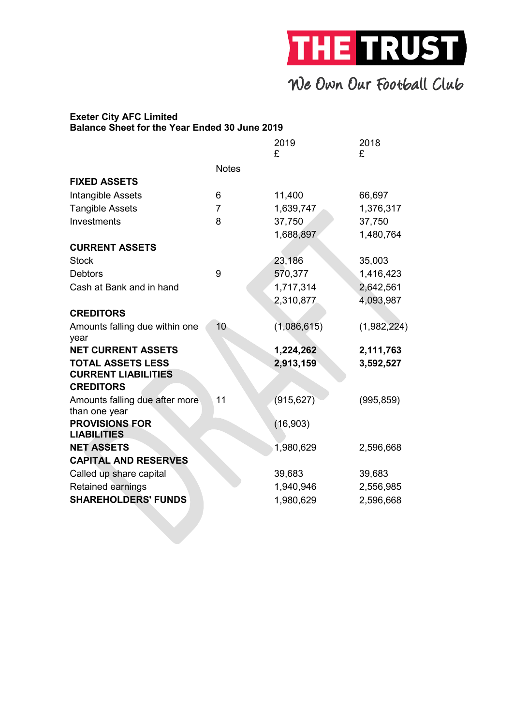

#### Exeter City AFC Limited Balance Sheet for the Year Ended 30 June 2019

|                                                        |                | 2019<br>£   | 2018<br>£   |
|--------------------------------------------------------|----------------|-------------|-------------|
|                                                        | <b>Notes</b>   |             |             |
| <b>FIXED ASSETS</b>                                    |                |             |             |
| Intangible Assets                                      | 6              | 11,400      | 66,697      |
| <b>Tangible Assets</b>                                 | $\overline{7}$ | 1,639,747   | 1,376,317   |
| Investments                                            | 8              | 37,750      | 37,750      |
|                                                        |                | 1,688,897   | 1,480,764   |
| <b>CURRENT ASSETS</b>                                  |                |             |             |
| <b>Stock</b>                                           |                | 23,186      | 35,003      |
| <b>Debtors</b>                                         | 9              | 570,377     | 1,416,423   |
| Cash at Bank and in hand                               |                | 1,717,314   | 2,642,561   |
|                                                        |                | 2,310,877   | 4,093,987   |
| <b>CREDITORS</b>                                       |                |             |             |
| Amounts falling due within one<br>year                 | 10             | (1,086,615) | (1,982,224) |
| <b>NET CURRENT ASSETS</b>                              |                | 1,224,262   | 2,111,763   |
| <b>TOTAL ASSETS LESS</b><br><b>CURRENT LIABILITIES</b> |                | 2,913,159   | 3,592,527   |
| <b>CREDITORS</b>                                       |                |             |             |
| Amounts falling due after more<br>than one year        | 11             | (915, 627)  | (995, 859)  |
| <b>PROVISIONS FOR</b><br><b>LIABILITIES</b>            |                | (16, 903)   |             |
| <b>NET ASSETS</b>                                      |                | 1,980,629   | 2,596,668   |
| <b>CAPITAL AND RESERVES</b>                            |                |             |             |
| Called up share capital                                |                | 39,683      | 39,683      |
| <b>Retained earnings</b>                               |                | 1,940,946   | 2,556,985   |
| <b>SHAREHOLDERS' FUNDS</b>                             |                | 1,980,629   | 2,596,668   |
|                                                        |                |             |             |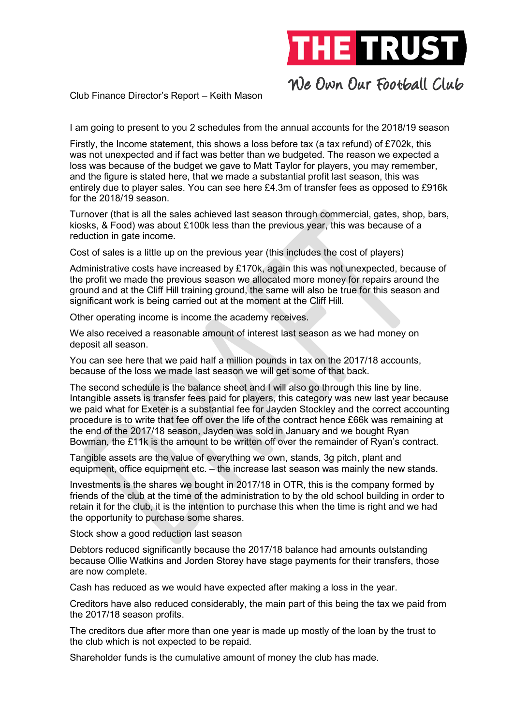

Club Finance Director's Report – Keith Mason

I am going to present to you 2 schedules from the annual accounts for the 2018/19 season

Firstly, the Income statement, this shows a loss before tax (a tax refund) of £702k, this was not unexpected and if fact was better than we budgeted. The reason we expected a loss was because of the budget we gave to Matt Taylor for players, you may remember, and the figure is stated here, that we made a substantial profit last season, this was entirely due to player sales. You can see here £4.3m of transfer fees as opposed to £916k for the 2018/19 season.

Turnover (that is all the sales achieved last season through commercial, gates, shop, bars, kiosks, & Food) was about £100k less than the previous year, this was because of a reduction in gate income.

Cost of sales is a little up on the previous year (this includes the cost of players)

Administrative costs have increased by £170k, again this was not unexpected, because of the profit we made the previous season we allocated more money for repairs around the ground and at the Cliff Hill training ground, the same will also be true for this season and significant work is being carried out at the moment at the Cliff Hill.

Other operating income is income the academy receives.

We also received a reasonable amount of interest last season as we had money on deposit all season.

You can see here that we paid half a million pounds in tax on the 2017/18 accounts, because of the loss we made last season we will get some of that back.

The second schedule is the balance sheet and I will also go through this line by line. Intangible assets is transfer fees paid for players, this category was new last year because we paid what for Exeter is a substantial fee for Jayden Stockley and the correct accounting procedure is to write that fee off over the life of the contract hence £66k was remaining at the end of the 2017/18 season, Jayden was sold in January and we bought Ryan Bowman, the £11k is the amount to be written off over the remainder of Ryan's contract.

Tangible assets are the value of everything we own, stands, 3g pitch, plant and equipment, office equipment etc. – the increase last season was mainly the new stands.

Investments is the shares we bought in 2017/18 in OTR, this is the company formed by friends of the club at the time of the administration to by the old school building in order to retain it for the club, it is the intention to purchase this when the time is right and we had the opportunity to purchase some shares.

Stock show a good reduction last season

Debtors reduced significantly because the 2017/18 balance had amounts outstanding because Ollie Watkins and Jorden Storey have stage payments for their transfers, those are now complete.

Cash has reduced as we would have expected after making a loss in the year.

Creditors have also reduced considerably, the main part of this being the tax we paid from the 2017/18 season profits.

The creditors due after more than one year is made up mostly of the loan by the trust to the club which is not expected to be repaid.

Shareholder funds is the cumulative amount of money the club has made.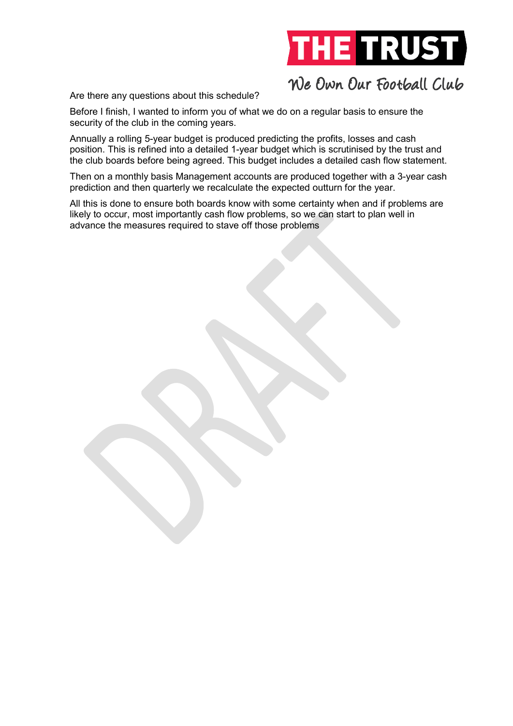

Are there any questions about this schedule?

Before I finish, I wanted to inform you of what we do on a regular basis to ensure the security of the club in the coming years.

Annually a rolling 5-year budget is produced predicting the profits, losses and cash position. This is refined into a detailed 1-year budget which is scrutinised by the trust and the club boards before being agreed. This budget includes a detailed cash flow statement.

Then on a monthly basis Management accounts are produced together with a 3-year cash prediction and then quarterly we recalculate the expected outturn for the year.

All this is done to ensure both boards know with some certainty when and if problems are likely to occur, most importantly cash flow problems, so we can start to plan well in advance the measures required to stave off those problems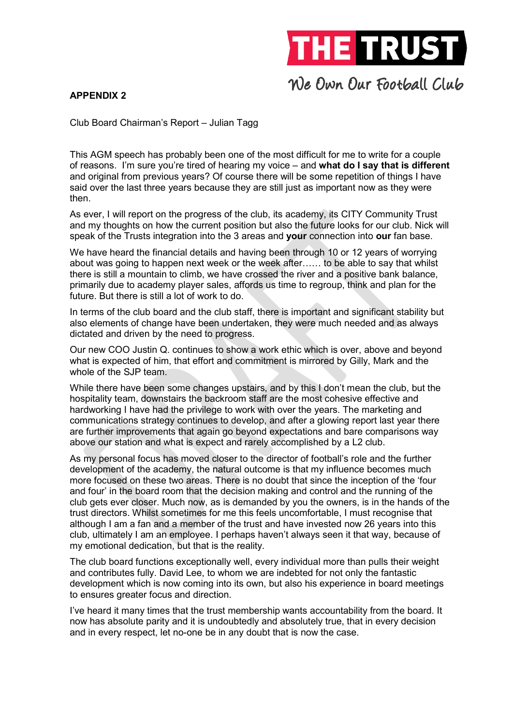

### APPENDIX 2

Club Board Chairman's Report – Julian Tagg

This AGM speech has probably been one of the most difficult for me to write for a couple of reasons. I'm sure you're tired of hearing my voice – and what do I say that is different and original from previous years? Of course there will be some repetition of things I have said over the last three years because they are still just as important now as they were then.

As ever, I will report on the progress of the club, its academy, its CITY Community Trust and my thoughts on how the current position but also the future looks for our club. Nick will speak of the Trusts integration into the 3 areas and your connection into our fan base.

We have heard the financial details and having been through 10 or 12 years of worrying about was going to happen next week or the week after…… to be able to say that whilst there is still a mountain to climb, we have crossed the river and a positive bank balance, primarily due to academy player sales, affords us time to regroup, think and plan for the future. But there is still a lot of work to do.

In terms of the club board and the club staff, there is important and significant stability but also elements of change have been undertaken, they were much needed and as always dictated and driven by the need to progress.

Our new COO Justin Q. continues to show a work ethic which is over, above and beyond what is expected of him, that effort and commitment is mirrored by Gilly, Mark and the whole of the SJP team.

While there have been some changes upstairs, and by this I don't mean the club, but the hospitality team, downstairs the backroom staff are the most cohesive effective and hardworking I have had the privilege to work with over the years. The marketing and communications strategy continues to develop, and after a glowing report last year there are further improvements that again go beyond expectations and bare comparisons way above our station and what is expect and rarely accomplished by a L2 club.

As my personal focus has moved closer to the director of football's role and the further development of the academy, the natural outcome is that my influence becomes much more focused on these two areas. There is no doubt that since the inception of the 'four and four' in the board room that the decision making and control and the running of the club gets ever closer. Much now, as is demanded by you the owners, is in the hands of the trust directors. Whilst sometimes for me this feels uncomfortable, I must recognise that although I am a fan and a member of the trust and have invested now 26 years into this club, ultimately I am an employee. I perhaps haven't always seen it that way, because of my emotional dedication, but that is the reality.

The club board functions exceptionally well, every individual more than pulls their weight and contributes fully. David Lee, to whom we are indebted for not only the fantastic development which is now coming into its own, but also his experience in board meetings to ensures greater focus and direction.

I've heard it many times that the trust membership wants accountability from the board. It now has absolute parity and it is undoubtedly and absolutely true, that in every decision and in every respect, let no-one be in any doubt that is now the case.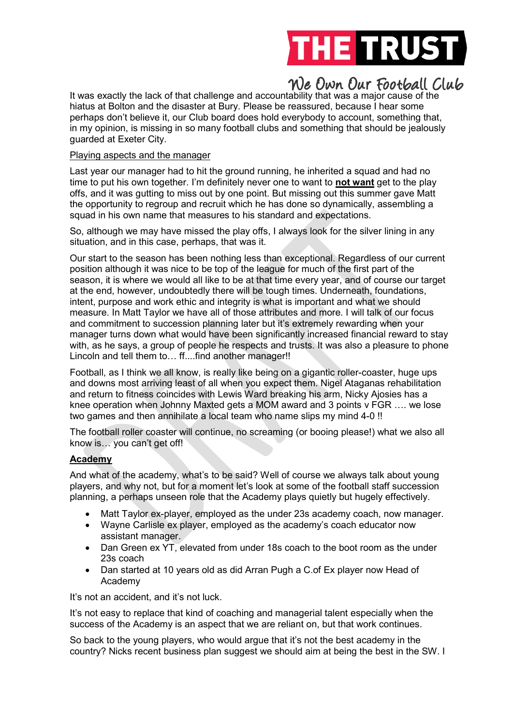

It was exactly the lack of that challenge and accountability that was a major cause of the hiatus at Bolton and the disaster at Bury. Please be reassured, because I hear some perhaps don't believe it, our Club board does hold everybody to account, something that, in my opinion, is missing in so many football clubs and something that should be jealously guarded at Exeter City.

### Playing aspects and the manager

Last year our manager had to hit the ground running, he inherited a squad and had no time to put his own together. I'm definitely never one to want to not want get to the play offs, and it was gutting to miss out by one point. But missing out this summer gave Matt the opportunity to regroup and recruit which he has done so dynamically, assembling a squad in his own name that measures to his standard and expectations.

So, although we may have missed the play offs, I always look for the silver lining in any situation, and in this case, perhaps, that was it.

Our start to the season has been nothing less than exceptional. Regardless of our current position although it was nice to be top of the league for much of the first part of the season, it is where we would all like to be at that time every year, and of course our target at the end, however, undoubtedly there will be tough times. Underneath, foundations, intent, purpose and work ethic and integrity is what is important and what we should measure. In Matt Taylor we have all of those attributes and more. I will talk of our focus and commitment to succession planning later but it's extremely rewarding when your manager turns down what would have been significantly increased financial reward to stay with, as he says, a group of people he respects and trusts. It was also a pleasure to phone Lincoln and tell them to… ff....find another manager!!

Football, as I think we all know, is really like being on a gigantic roller-coaster, huge ups and downs most arriving least of all when you expect them. Nigel Ataganas rehabilitation and return to fitness coincides with Lewis Ward breaking his arm, Nicky Ajosies has a knee operation when Johnny Maxted gets a MOM award and 3 points v FGR …. we lose two games and then annihilate a local team who name slips my mind 4-0 !!

The football roller coaster will continue, no screaming (or booing please!) what we also all know is… you can't get off!

### Academy

And what of the academy, what's to be said? Well of course we always talk about young players, and why not, but for a moment let's look at some of the football staff succession planning, a perhaps unseen role that the Academy plays quietly but hugely effectively.

- Matt Taylor ex-player, employed as the under 23s academy coach, now manager.
- Wayne Carlisle ex player, employed as the academy's coach educator now assistant manager.
- Dan Green ex YT, elevated from under 18s coach to the boot room as the under 23s coach
- Dan started at 10 years old as did Arran Pugh a C.of Ex player now Head of Academy

It's not an accident, and it's not luck.

It's not easy to replace that kind of coaching and managerial talent especially when the success of the Academy is an aspect that we are reliant on, but that work continues.

So back to the young players, who would argue that it's not the best academy in the country? Nicks recent business plan suggest we should aim at being the best in the SW. I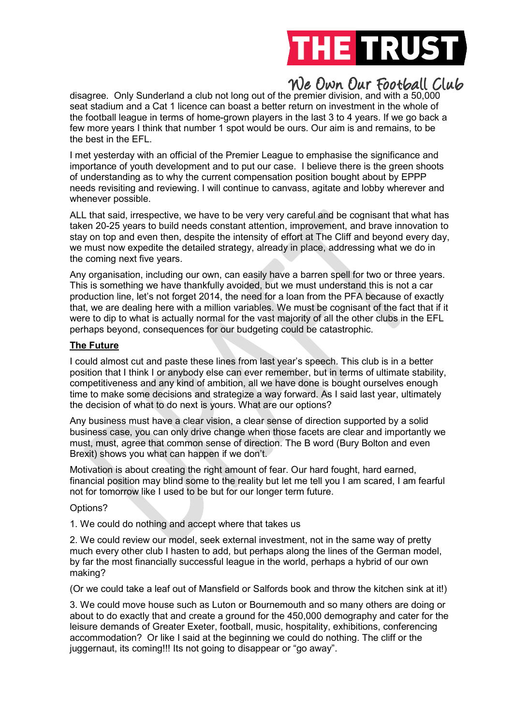

disagree. Only Sunderland a club not long out of the premier division, and with a 50,000 seat stadium and a Cat 1 licence can boast a better return on investment in the whole of the football league in terms of home-grown players in the last 3 to 4 years. If we go back a few more years I think that number 1 spot would be ours. Our aim is and remains, to be the best in the EFL.

I met yesterday with an official of the Premier League to emphasise the significance and importance of youth development and to put our case. I believe there is the green shoots of understanding as to why the current compensation position bought about by EPPP needs revisiting and reviewing. I will continue to canvass, agitate and lobby wherever and whenever possible.

ALL that said, irrespective, we have to be very very careful and be cognisant that what has taken 20-25 years to build needs constant attention, improvement, and brave innovation to stay on top and even then, despite the intensity of effort at The Cliff and beyond every day, we must now expedite the detailed strategy, already in place, addressing what we do in the coming next five years.

Any organisation, including our own, can easily have a barren spell for two or three years. This is something we have thankfully avoided, but we must understand this is not a car production line, let's not forget 2014, the need for a loan from the PFA because of exactly that, we are dealing here with a million variables. We must be cognisant of the fact that if it were to dip to what is actually normal for the vast majority of all the other clubs in the EFL perhaps beyond, consequences for our budgeting could be catastrophic.

### The Future

I could almost cut and paste these lines from last year's speech. This club is in a better position that I think I or anybody else can ever remember, but in terms of ultimate stability, competitiveness and any kind of ambition, all we have done is bought ourselves enough time to make some decisions and strategize a way forward. As I said last year, ultimately the decision of what to do next is yours. What are our options?

Any business must have a clear vision, a clear sense of direction supported by a solid business case, you can only drive change when those facets are clear and importantly we must, must, agree that common sense of direction. The B word (Bury Bolton and even Brexit) shows you what can happen if we don't.

Motivation is about creating the right amount of fear. Our hard fought, hard earned, financial position may blind some to the reality but let me tell you I am scared, I am fearful not for tomorrow like I used to be but for our longer term future.

### Options?

1. We could do nothing and accept where that takes us

2. We could review our model, seek external investment, not in the same way of pretty much every other club I hasten to add, but perhaps along the lines of the German model, by far the most financially successful league in the world, perhaps a hybrid of our own making?

(Or we could take a leaf out of Mansfield or Salfords book and throw the kitchen sink at it!)

3. We could move house such as Luton or Bournemouth and so many others are doing or about to do exactly that and create a ground for the 450,000 demography and cater for the leisure demands of Greater Exeter, football, music, hospitality, exhibitions, conferencing accommodation? Or like I said at the beginning we could do nothing. The cliff or the juggernaut, its coming!!! Its not going to disappear or "go away".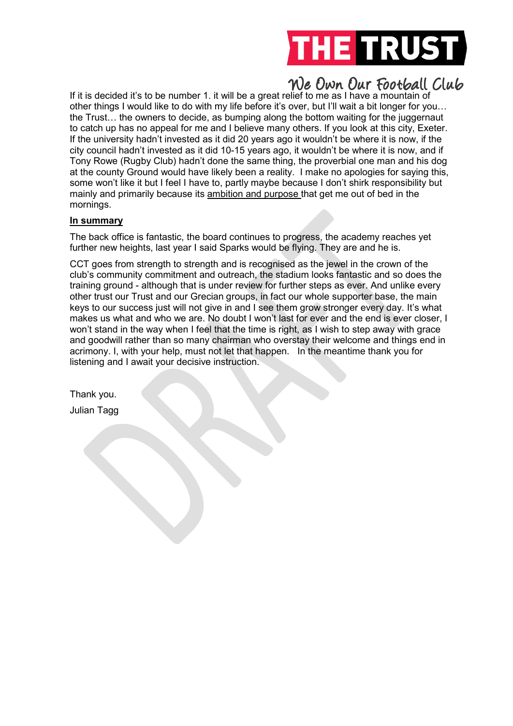

If it is decided it's to be number 1. it will be a great relief to me as I have a mountain of other things I would like to do with my life before it's over, but I'll wait a bit longer for you… the Trust… the owners to decide, as bumping along the bottom waiting for the juggernaut to catch up has no appeal for me and I believe many others. If you look at this city, Exeter. If the university hadn't invested as it did 20 years ago it wouldn't be where it is now, if the city council hadn't invested as it did 10-15 years ago, it wouldn't be where it is now, and if Tony Rowe (Rugby Club) hadn't done the same thing, the proverbial one man and his dog at the county Ground would have likely been a reality. I make no apologies for saying this, some won't like it but I feel I have to, partly maybe because I don't shirk responsibility but mainly and primarily because its ambition and purpose that get me out of bed in the mornings.

### In summary

The back office is fantastic, the board continues to progress, the academy reaches yet further new heights, last year I said Sparks would be flying. They are and he is.

CCT goes from strength to strength and is recognised as the jewel in the crown of the club's community commitment and outreach, the stadium looks fantastic and so does the training ground - although that is under review for further steps as ever. And unlike every other trust our Trust and our Grecian groups, in fact our whole supporter base, the main keys to our success just will not give in and I see them grow stronger every day. It's what makes us what and who we are. No doubt I won't last for ever and the end is ever closer, I won't stand in the way when I feel that the time is right, as I wish to step away with grace and goodwill rather than so many chairman who overstay their welcome and things end in acrimony. I, with your help, must not let that happen. In the meantime thank you for listening and I await your decisive instruction.

Thank you. Julian Tagg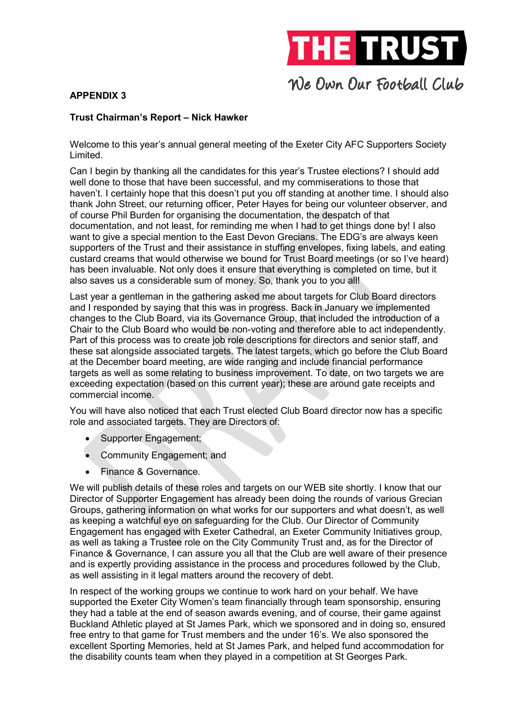

### APPENDIX 3

### Trust Chairman's Report – Nick Hawker

Welcome to this year's annual general meeting of the Exeter City AFC Supporters Society Limited.

Can I begin by thanking all the candidates for this year's Trustee elections? I should add well done to those that have been successful, and my commiserations to those that haven't. I certainly hope that this doesn't put you off standing at another time. I should also thank John Street, our returning officer, Peter Hayes for being our volunteer observer, and of course Phil Burden for organising the documentation, the despatch of that documentation, and not least, for reminding me when I had to get things done by! I also want to give a special mention to the East Devon Grecians. The EDG's are always keen supporters of the Trust and their assistance in stuffing envelopes, fixing labels, and eating custard creams that would otherwise we bound for Trust Board meetings (or so I've heard) has been invaluable. Not only does it ensure that everything is completed on time, but it also saves us a considerable sum of money. So, thank you to you all!

Last year a gentleman in the gathering asked me about targets for Club Board directors and I responded by saying that this was in progress. Back in January we implemented changes to the Club Board, via its Governance Group, that included the introduction of a Chair to the Club Board who would be non-voting and therefore able to act independently. Part of this process was to create job role descriptions for directors and senior staff, and these sat alongside associated targets. The latest targets, which go before the Club Board at the December board meeting, are wide ranging and include financial performance targets as well as some relating to business improvement. To date, on two targets we are exceeding expectation (based on this current year); these are around gate receipts and commercial income.

You will have also noticed that each Trust elected Club Board director now has a specific role and associated targets. They are Directors of:

- Supporter Engagement;
- Community Engagement; and
- Finance & Governance.

We will publish details of these roles and targets on our WEB site shortly. I know that our Director of Supporter Engagement has already been doing the rounds of various Grecian Groups, gathering information on what works for our supporters and what doesn't, as well as keeping a watchful eye on safeguarding for the Club. Our Director of Community Engagement has engaged with Exeter Cathedral, an Exeter Community Initiatives group, as well as taking a Trustee role on the City Community Trust and, as for the Director of Finance & Governance, I can assure you all that the Club are well aware of their presence and is expertly providing assistance in the process and procedures followed by the Club, as well assisting in it legal matters around the recovery of debt.

In respect of the working groups we continue to work hard on your behalf. We have supported the Exeter City Women's team financially through team sponsorship, ensuring they had a table at the end of season awards evening, and of course, their game against Buckland Athletic played at St James Park, which we sponsored and in doing so, ensured free entry to that game for Trust members and the under 16's. We also sponsored the excellent Sporting Memories, held at St James Park, and helped fund accommodation for the disability counts team when they played in a competition at St Georges Park.